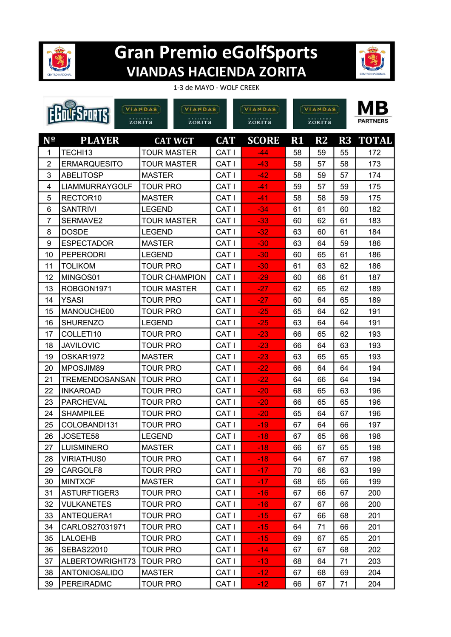

## **Gran Premio eGolfSports VIANDAS HACIENDA ZORITA**



## 1-3 de MAYO - WOLF CREEK

|                  |                       | VIANDAS            | VIANDAS              |                  | <b>VIANDAS</b> | <b>VIANDAS</b> |               |    | MВ              |
|------------------|-----------------------|--------------------|----------------------|------------------|----------------|----------------|---------------|----|-----------------|
| <b>PORTS</b>     |                       | ZORITA<br>ZORITA   |                      |                  | zorita         | ZORITA         |               |    | <b>PARTNERS</b> |
| Nº               | <b>PLAYER</b>         |                    | <b>CAT WGT</b>       | <b>CAT</b>       | <b>SCORE</b>   | R1             | $\mathbf{R2}$ | R3 | <b>TOTAL</b>    |
| 1                | TECHI13               | <b>TOUR MASTER</b> |                      | CAT I            | $-44$          | 58             | 59            | 55 | 172             |
| $\overline{2}$   | <b>ERMARQUESITO</b>   | <b>TOUR MASTER</b> |                      | CAT I            | $-43$          | 58             | 57            | 58 | 173             |
| 3                | <b>ABELITOSP</b>      | <b>MASTER</b>      |                      | CAT I            | $-42$          | 58             | 59            | 57 | 174             |
| 4                | <b>LIAMMURRAYGOLF</b> | <b>TOUR PRO</b>    |                      | CAT I            | $-41$          | 59             | 57            | 59 | 175             |
| 5                | RECTOR <sub>10</sub>  | <b>MASTER</b>      |                      | CAT I            | $-41$          | 58             | 58            | 59 | 175             |
| 6                | <b>SANTRIVI</b>       | <b>LEGEND</b>      |                      | CAT I            | $-34$          | 61             | 61            | 60 | 182             |
| $\overline{7}$   | SERMAVE2              | <b>TOUR MASTER</b> |                      | CAT I            | $-33$          | 60             | 62            | 61 | 183             |
| 8                | <b>DOSDE</b>          | <b>LEGEND</b>      |                      | CAT I            | $-32$          | 63             | 60            | 61 | 184             |
| $\boldsymbol{9}$ | <b>ESPECTADOR</b>     | <b>MASTER</b>      |                      | CAT I            | $-30$          | 63             | 64            | 59 | 186             |
| 10               | <b>PEPERODRI</b>      | <b>LEGEND</b>      |                      | CAT I            | $-30$          | 60             | 65            | 61 | 186             |
| 11               | TOLIKOM               | <b>TOUR PRO</b>    |                      | CAT I            | $-30$          | 61             | 63            | 62 | 186             |
| 12               | MINGOS01              |                    | <b>TOUR CHAMPION</b> | CAT <sub>I</sub> | $-29$          | 60             | 66            | 61 | 187             |
| 13               | ROBGON1971            | <b>TOUR MASTER</b> |                      | CAT I            | $-27$          | 62             | 65            | 62 | 189             |
| 14               | <b>YSASI</b>          | <b>TOUR PRO</b>    |                      | CAT I            | $-27$          | 60             | 64            | 65 | 189             |
| 15               | MANOUCHE00            | <b>TOUR PRO</b>    |                      | CAT I            | $-25$          | 65             | 64            | 62 | 191             |
| 16               | <b>SHURENZO</b>       | <b>LEGEND</b>      |                      | <b>CATI</b>      | $-25$          | 63             | 64            | 64 | 191             |
| 17               | COLLETI10             | <b>TOUR PRO</b>    |                      | CAT I            | $-23$          | 66             | 65            | 62 | 193             |
| 18               | <b>JAVILOVIC</b>      | TOUR PRO           |                      | CAT I            | $-23$          | 66             | 64            | 63 | 193             |
| 19               | OSKAR1972             | <b>MASTER</b>      |                      | CAT I            | $-23$          | 63             | 65            | 65 | 193             |
| 20               | MPOSJIM89             | TOUR PRO           |                      | <b>CATI</b>      | $-22$          | 66             | 64            | 64 | 194             |
| 21               | TREMENDOSANSAN        | <b>TOUR PRO</b>    |                      | CAT I            | $-22$          | 64             | 66            | 64 | 194             |
| 22               | <b>INKAROAD</b>       | TOUR PRO           |                      | CAT I            | $-20$          | 68             | 65            | 63 | 196             |
| 23               | <b>PARCHEVAL</b>      | TOUR PRO           |                      | CAT I            | $-20$          | 66             | 65            | 65 | 196             |
| 24               | <b>SHAMPILEE</b>      | TOUR PRO           |                      | <b>CATI</b>      | $-20$          | 65             | 64            | 67 | 196             |
| 25               | COLOBANDI131          | <b>TOUR PRO</b>    |                      | CAT I            | $-19$          | 67             | 64            | 66 | 197             |
| 26               | JOSETE58              | <b>LEGEND</b>      |                      | CAT I            | $-18$          | 67             | 65            | 66 | 198             |
| 27               | <b>LUISMINERO</b>     | <b>MASTER</b>      |                      | CAT I            | $-18$          | 66             | 67            | 65 | 198             |
| 28               | <b>VIRIATHUS0</b>     | TOUR PRO           |                      | CAT I            | $-18$          | 64             | 67            | 67 | 198             |
| 29               | CARGOLF8              | <b>TOUR PRO</b>    |                      | CAT I            | $-17$          | 70             | 66            | 63 | 199             |
| 30               | <b>MINTXOF</b>        | MASTER             |                      | CAT I            | $-17$          | 68             | 65            | 66 | 199             |
| 31               | ASTURFTIGER3          | <b>TOUR PRO</b>    |                      | CAT I            | $-16$          | 67             | 66            | 67 | 200             |
| 32               | <b>VULKANETES</b>     | TOUR PRO           |                      | CAT I            | $-16$          | 67             | 67            | 66 | 200             |
| 33               | ANTEQUERA1            | <b>TOUR PRO</b>    |                      | CAT I            | $-15$          | 67             | 66            | 68 | 201             |
| 34               | CARLOS27031971        | <b>TOUR PRO</b>    |                      | CAT I            | $-15$          | 64             | 71            | 66 | 201             |
| 35               | LALOEHB               | <b>TOUR PRO</b>    |                      | CAT I            | $-15$          | 69             | 67            | 65 | 201             |
| 36               | <b>SEBAS22010</b>     | <b>TOUR PRO</b>    |                      | CAT I            | $-14$          | 67             | 67            | 68 | 202             |
| 37               | ALBERTOWRIGHT73       | <b>TOUR PRO</b>    |                      | CAT I            | $-13$          | 68             | 64            | 71 | 203             |
| 38               | <b>ANTONIOSALIDO</b>  | <b>MASTER</b>      |                      | CAT I            | $-12$          | 67             | 68            | 69 | 204             |
| 39               | <b>PEREIRADMC</b>     | <b>TOUR PRO</b>    |                      | CAT I            | $-12$          | 66             | 67            | 71 | 204             |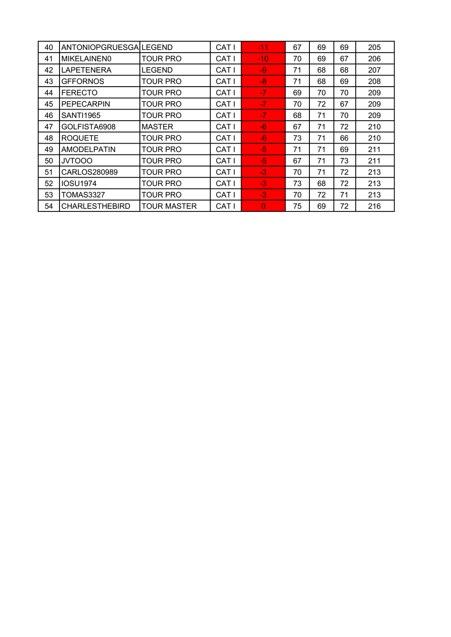| 40 | ANTONIOPGRUESGALEGEND |                    | CAT I        | $-11$     | 67 | 69 | 69 | 205 |
|----|-----------------------|--------------------|--------------|-----------|----|----|----|-----|
| 41 | MIKELAINEN0           | TOUR PRO           | CAT I        | $-10^{-}$ | 70 | 69 | 67 | 206 |
| 42 | <b>LAPETENERA</b>     | LEGEND             | CAT I        | -9        | 71 | 68 | 68 | 207 |
| 43 | <b>GFFORNOS</b>       | TOUR PRO           | CAT I        | $-8$      | 71 | 68 | 69 | 208 |
| 44 | <b>FERECTO</b>        | TOUR PRO           | <b>CAT I</b> | $-7$      | 69 | 70 | 70 | 209 |
| 45 | <b>PEPECARPIN</b>     | TOUR PRO           | CAT I        | $-7$      | 70 | 72 | 67 | 209 |
| 46 | <b>SANTI1965</b>      | <b>TOUR PRO</b>    | <b>CAT I</b> | $-7$      | 68 | 71 | 70 | 209 |
| 47 | GOLFISTA6908          | <b>MASTER</b>      | CAT I        | $-6$      | 67 | 71 | 72 | 210 |
| 48 | <b>ROQUETE</b>        | TOUR PRO           | CAT I        | -6        | 73 | 71 | 66 | 210 |
| 49 | <b>AMODELPATIN</b>    | TOUR PRO           | CAT I        | $-5$      | 71 | 71 | 69 | 211 |
| 50 | <b>JVTOOO</b>         | TOUR PRO           | CAT I        | $-5$      | 67 | 71 | 73 | 211 |
| 51 | CARLOS280989          | TOUR PRO           | CAT I        | $-3$      | 70 | 71 | 72 | 213 |
| 52 | <b>IOSU1974</b>       | TOUR PRO           | CAT I        | $-3$      | 73 | 68 | 72 | 213 |
| 53 | <b>TOMAS3327</b>      | TOUR PRO           | CAT I        | $-3$      | 70 | 72 | 71 | 213 |
| 54 | <b>CHARLESTHEBIRD</b> | <b>TOUR MASTER</b> | CAT I        | $\Omega$  | 75 | 69 | 72 | 216 |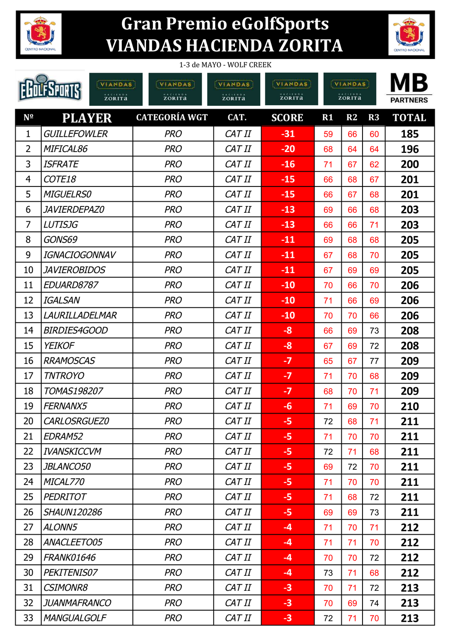

## **Gran Premio eGolfSports VIANDAS HACIENDA ZORITA**



| 1-3 de MAYO - WOLF CREEK             |                     |                                |                                      |                                             |    |                                          |    |                       |
|--------------------------------------|---------------------|--------------------------------|--------------------------------------|---------------------------------------------|----|------------------------------------------|----|-----------------------|
| VIANDAS<br><b>HACIENDA</b><br>ZORITA |                     | VIANDAS<br>zorita <sup>®</sup> | VIANDAS<br><b>HACIENDA</b><br>ZORITA | <b>VIANDAS</b><br><b>HACIENDA</b><br>ZORITA |    | VIANDAS<br>$H = C + E + D + A$<br>ZORITA |    | MВ<br><b>PARTNERS</b> |
| $N^{\Omega}$                         | <b>PLAYER</b>       | <b>CATEGORÍA WGT</b>           | CAT.                                 | <b>SCORE</b>                                | R1 | R2                                       | R3 | <b>TOTAL</b>          |
| 1                                    | <b>GUILLEFOWLER</b> | <b>PRO</b>                     | CAT II                               | $-31$                                       | 59 | 66                                       | 60 | 185                   |
| 2                                    | <i>MIFICAL86</i>    | <b>PRO</b>                     | CAT II                               | $-20$                                       | 68 | 64                                       | 64 | 196                   |
| 3                                    | ISFRATE             | <b>PRO</b>                     | CAT II                               | $-16$                                       | 71 | 67                                       | 62 | 200                   |
| $\overline{4}$                       | COTE18              | <b>PRO</b>                     | CAT II                               | $-15$                                       | 66 | 68                                       | 67 | 201                   |
| 5                                    | <b>MIGUELRS0</b>    | <b>PRO</b>                     | CAT II                               | $-15$                                       | 66 | 67                                       | 68 | 201                   |
| 6                                    | <i>JAVIERDEPAZ0</i> | <b>PRO</b>                     | CAT II                               | $-13$                                       | 69 | 66                                       | 68 | 203                   |
| $\overline{7}$                       | <b>LUTISJG</b>      | <b>PRO</b>                     | CAT II                               | $-13$                                       | 66 | 66                                       | 71 | 203                   |
| 8                                    | GONS69              | <b>PRO</b>                     | CAT II                               | $-11$                                       | 69 | 68                                       | 68 | 205                   |
| 9                                    | IGNACIOGONNAV       | <b>PRO</b>                     | CAT II                               | $-11$                                       | 67 | 68                                       | 70 | 205                   |
| 10                                   | <i>JAVIEROBIDOS</i> | <b>PRO</b>                     | CAT II                               | $-11$                                       | 67 | 69                                       | 69 | 205                   |
| 11                                   | <i>EDUARD8787</i>   | <b>PRO</b>                     | CAT II                               | $-10$                                       | 70 | 66                                       | 70 | 206                   |
| 12                                   | IGALSAN             | <b>PRO</b>                     | CAT II                               | $-10$                                       | 71 | 66                                       | 69 | 206                   |
| 13                                   | LAURILLADELMAR      | <b>PRO</b>                     | CAT II                               | $-10$                                       | 70 | 70                                       | 66 | 206                   |
| 14                                   | <b>BIRDIES4GOOD</b> | <b>PRO</b>                     | CAT II                               | -8                                          | 66 | 69                                       | 73 | 208                   |
| 15                                   | <b>YEIKOF</b>       | <b>PRO</b>                     | CAT II                               | -8                                          | 67 | 69                                       | 72 | 208                   |
| 16                                   | <b>RRAMOSCAS</b>    | <b>PRO</b>                     | CAT II                               | $-7$                                        | 65 | 67                                       | 77 | 209                   |
| 17                                   | <b>TNTROYO</b>      | <b>PRO</b>                     | CAT II                               | $-7$                                        | 71 | 70                                       | 68 | 209                   |
| 18                                   | <b>TOMAS198207</b>  | <b>PRO</b>                     | CAT II                               | $-7$                                        | 68 | 70                                       | 71 | 209                   |
| 19                                   | FERNANX5            | <b>PRO</b>                     | CAT II                               | -6                                          | 71 | 69                                       | 70 | 210                   |
| 20                                   | CARLOSRGUEZ0        | <b>PRO</b>                     | CAT II                               | $-5$                                        | 72 | 68                                       | 71 | 211                   |
| 21                                   | <b>EDRAM52</b>      | <b>PRO</b>                     | CAT II                               | $-5$                                        | 71 | 70                                       | 70 | 211                   |
| 22                                   | IVANSKICCVM         | <b>PRO</b>                     | CAT II                               | $-5$                                        | 72 | 71                                       | 68 | 211                   |
| 23                                   | <i>JBLANCO50</i>    | <b>PRO</b>                     | CAT II                               | -5                                          | 69 | 72                                       | 70 | 211                   |
| 24                                   | MICAL770            | <b>PRO</b>                     | CAT II                               | $-5$                                        | 71 | 70                                       | 70 | 211                   |
| 25                                   | <b>PEDRITOT</b>     | <b>PRO</b>                     | CAT II                               | $-5$                                        | 71 | 68                                       | 72 | 211                   |
| 26                                   | <b>SHAUN120286</b>  | <b>PRO</b>                     | CAT II                               | $-5$                                        | 69 | 69                                       | 73 | 211                   |
| 27                                   | ALONN5              | <b>PRO</b>                     | CAT II                               | $-4$                                        | 71 | 70                                       | 71 | 212                   |
| 28                                   | ANACLEETO05         | <b>PRO</b>                     | CAT II                               | $-4$                                        | 71 | 71                                       | 70 | 212                   |
| 29                                   | <b>FRANK01646</b>   | <b>PRO</b>                     | CAT II                               | $-4$                                        | 70 | 70                                       | 72 | 212                   |
| 30                                   | PEKITENIS07         | <b>PRO</b>                     | CAT II                               | $-4$                                        | 73 | 71                                       | 68 | 212                   |
| 31                                   | <b>CSIMONR8</b>     | <b>PRO</b>                     | CAT II                               | $-3$                                        | 70 | 71                                       | 72 | 213                   |
| 32                                   | JUANMAFRANCO        | <b>PRO</b>                     | CAT II                               | $-3$                                        | 70 | 69                                       | 74 | 213                   |
| 33                                   | <b>MANGUALGOLF</b>  | <b>PRO</b>                     | CAT II                               | $-3$                                        |    |                                          |    |                       |
|                                      |                     |                                |                                      |                                             | 72 | 71                                       | 70 | 213                   |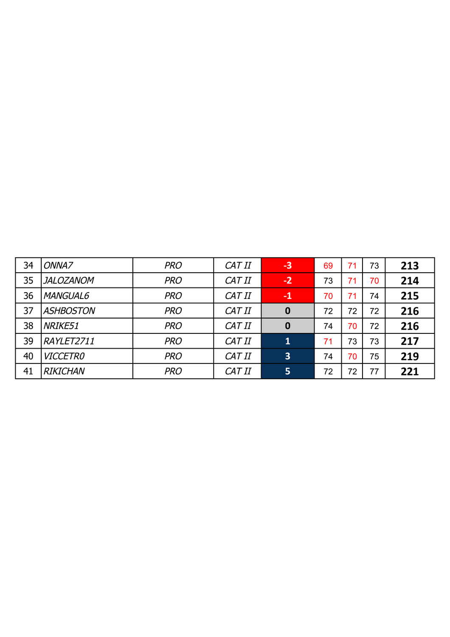| 34 | ONNA7            | <b>PRO</b> | CAT II | $-3$                    | 69 | 71 | 73 | 213 |
|----|------------------|------------|--------|-------------------------|----|----|----|-----|
| 35 | JALOZANOM        | <b>PRO</b> | CAT II | $-2$                    | 73 | 71 | 70 | 214 |
| 36 | <b>MANGUAL6</b>  | <b>PRO</b> | CAT II | $-1$                    | 70 | 71 | 74 | 215 |
| 37 | <b>ASHBOSTON</b> | <b>PRO</b> | CAT II | 0                       | 72 | 72 | 72 | 216 |
| 38 | NRIKE51          | <b>PRO</b> | CAT II | $\bf{0}$                | 74 | 70 | 72 | 216 |
| 39 | RAYLET2711       | <b>PRO</b> | CAT II | $\mathbf{1}$            | 71 | 73 | 73 | 217 |
| 40 | <b>VICCETRO</b>  | <b>PRO</b> | CAT II | $\overline{\mathbf{3}}$ | 74 | 70 | 75 | 219 |
| 41 | <b>RIKICHAN</b>  | <b>PRO</b> | CAT II | 5                       | 72 | 72 | 77 | 221 |